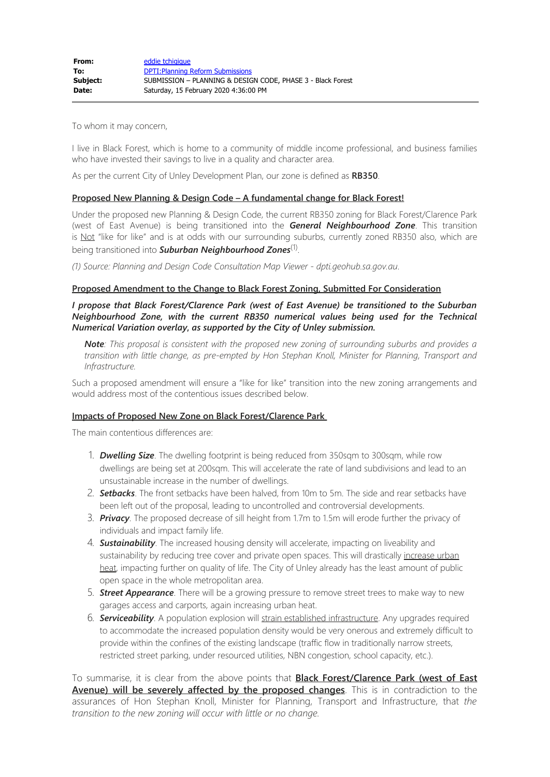To whom it may concern,

I live in Black Forest, which is home to a community of middle income professional, and business families who have invested their savings to live in a quality and character area.

As per the current City of Unley Development Plan, our zone is defined as **RB350**.

## **Proposed New Planning & Design Code – A fundamental change for Black Forest!**

Under the proposed new Planning & Design Code, the current RB350 zoning for Black Forest/Clarence Park (west of East Avenue) is being transitioned into the *General Neighbourhood Zone*. This transition is Not "like for like" and is at odds with our surrounding suburbs, currently zoned RB350 also, which are being transitioned into *Suburban Neighbourhood Zones*(1).

*(1) Source: Planning and Design Code Consultation Map Viewer* - *dpti.geohub.sa.gov.au*.

## **Proposed Amendment to the Change to Black Forest Zoning, Submitted For Consideration**

*I propose that Black Forest/Clarence Park (west of East Avenue) be transitioned to the Suburban Neighbourhood Zone, with the current RB350 numerical values being used for the Technical Numerical Variation overlay***,** *as supported by the City of Unley submission.*

*Note: This proposal is consistent with the proposed new zoning of surrounding suburbs and provides a transition with little change, as pre-empted by Hon Stephan Knoll, Minister for Planning, Transport and Infrastructure.*

Such a proposed amendment will ensure a "like for like" transition into the new zoning arrangements and would address most of the contentious issues described below.

## **Impacts of Proposed New Zone on Black Forest/Clarence Park**

The main contentious differences are:

- 1. *Dwelling Size*. The dwelling footprint is being reduced from 350sqm to 300sqm, while row dwellings are being set at 200sqm. This will accelerate the rate of land subdivisions and lead to an unsustainable increase in the number of dwellings.
- 2. *Setbacks*. The front setbacks have been halved, from 10m to 5m. The side and rear setbacks have been left out of the proposal, leading to uncontrolled and controversial developments.
- 3. *Privacy*. The proposed decrease of sill height from 1.7m to 1.5m will erode further the privacy of individuals and impact family life.
- 4. *Sustainability*. The increased housing density will accelerate, impacting on liveability and sustainability by reducing tree cover and private open spaces. This will drastically increase urban heat, impacting further on quality of life. The City of Unley already has the least amount of public open space in the whole metropolitan area.
- 5. *Street Appearance*. There will be a growing pressure to remove street trees to make way to new garages access and carports, again increasing urban heat.
- 6. *Serviceability*. A population explosion will strain established infrastructure. Any upgrades required to accommodate the increased population density would be very onerous and extremely difficult to provide within the confines of the existing landscape (traffic flow in traditionally narrow streets, restricted street parking, under resourced utilities, NBN congestion, school capacity, etc.).

To summarise, it is clear from the above points that **Black Forest/Clarence Park (west of East Avenue) will be severely affected by the proposed changes**. This is in contradiction to the assurances of Hon Stephan Knoll, Minister for Planning, Transport and Infrastructure, that *the transition to the new zoning will occur with little or no change.*